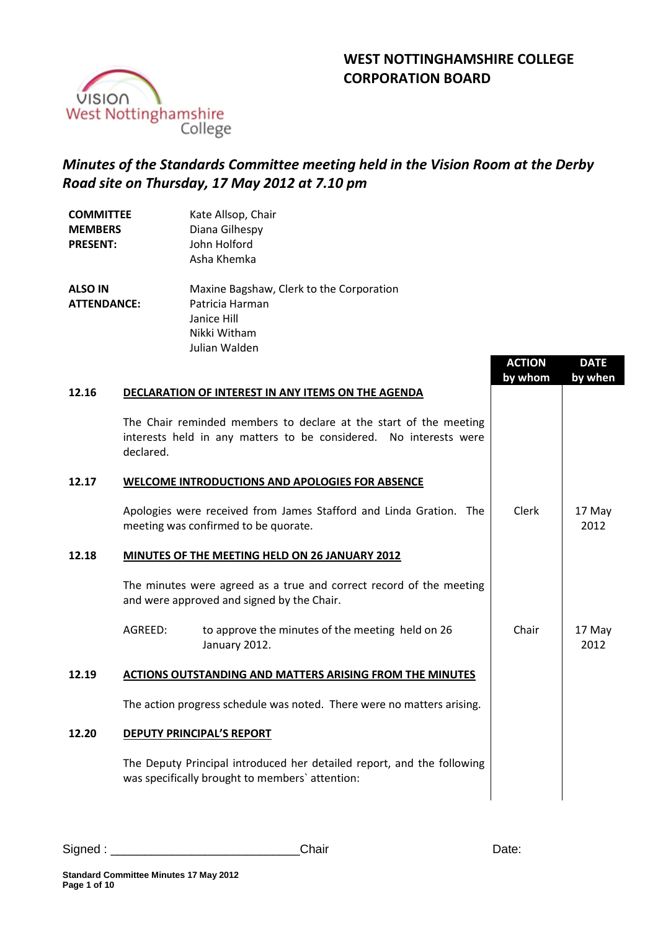# **WEST NOTTINGHAMSHIRE COLLEGE CORPORATION BOARD**



# *Minutes of the Standards Committee meeting held in the Vision Room at the Derby Road site on Thursday, 17 May 2012 at 7.10 pm*

| <b>COMMITTEE</b><br><b>MEMBERS</b><br><b>PRESENT:</b> | Kate Allsop, Chair<br>Diana Gilhespy<br>John Holford<br>Asha Khemka                                                                                 |               |  |  |
|-------------------------------------------------------|-----------------------------------------------------------------------------------------------------------------------------------------------------|---------------|--|--|
| <b>ALSO IN</b><br><b>ATTENDANCE:</b>                  | Maxine Bagshaw, Clerk to the Corporation<br>Patricia Harman<br>Janice Hill<br>Nikki Witham<br>Julian Walden                                         | <b>ACTION</b> |  |  |
| 12.16                                                 | <b>DECLARATION OF INTEREST IN ANY ITEMS ON THE AGENDA</b>                                                                                           | by whom       |  |  |
|                                                       | The Chair reminded members to declare at the start of the meeting<br>interests held in any matters to be considered. No interests were<br>declared. |               |  |  |
| 12.17                                                 | <b>WELCOME INTRODUCTIONS AND APOLOGIES FOR ABSENCE</b>                                                                                              |               |  |  |
|                                                       | Apologies were received from James Stafford and Linda Gration. The<br>meeting was confirmed to be quorate.                                          | Clerk         |  |  |
| 12.18                                                 | MINUTES OF THE MEETING HELD ON 26 JANUARY 2012                                                                                                      |               |  |  |
|                                                       | The minutes were agreed as a true and correct record of the meeting<br>and were approved and signed by the Chair.                                   |               |  |  |
|                                                       | AGREED:<br>to approve the minutes of the meeting held on 26<br>January 2012.                                                                        | Chair         |  |  |
| 12.19                                                 | <b>ACTIONS OUTSTANDING AND MATTERS ARISING FROM THE MINUTES</b>                                                                                     |               |  |  |
|                                                       | The action progress schedule was noted. There were no matters arising.                                                                              |               |  |  |
| 12.20                                                 | <b>DEPUTY PRINCIPAL'S REPORT</b>                                                                                                                    |               |  |  |
|                                                       | The Deputy Principal introduced her detailed report, and the following<br>was specifically brought to members' attention:                           |               |  |  |

**DATE by when**

17 May 2012

17 May 2012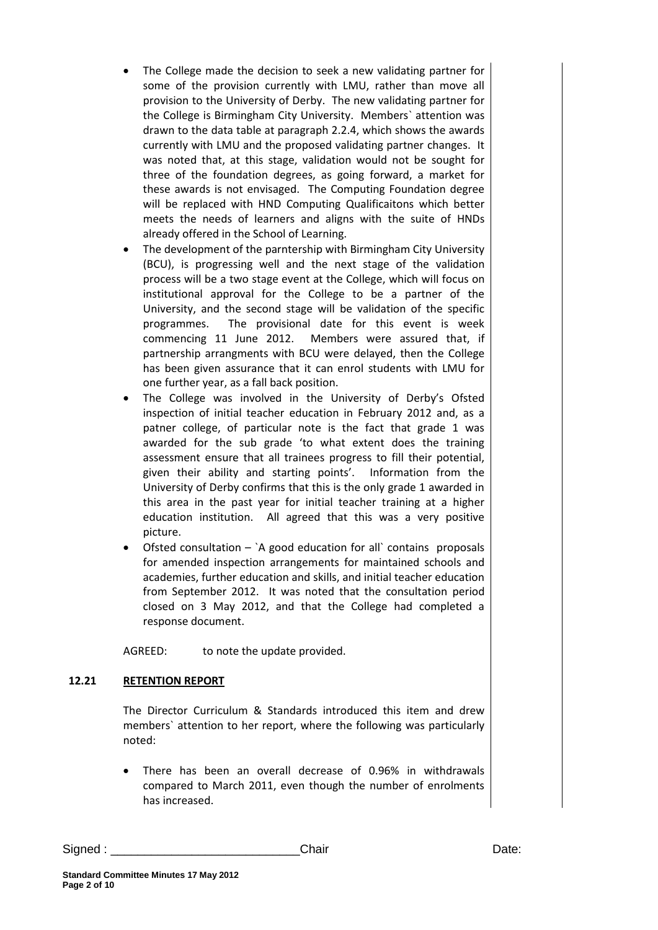- The College made the decision to seek a new validating partner for some of the provision currently with LMU, rather than move all provision to the University of Derby. The new validating partner for the College is Birmingham City University. Members` attention was drawn to the data table at paragraph 2.2.4, which shows the awards currently with LMU and the proposed validating partner changes. It was noted that, at this stage, validation would not be sought for three of the foundation degrees, as going forward, a market for these awards is not envisaged. The Computing Foundation degree will be replaced with HND Computing Qualificaitons which better meets the needs of learners and aligns with the suite of HNDs already offered in the School of Learning.
- The development of the parntership with Birmingham City University (BCU), is progressing well and the next stage of the validation process will be a two stage event at the College, which will focus on institutional approval for the College to be a partner of the University, and the second stage will be validation of the specific programmes. The provisional date for this event is week commencing 11 June 2012. Members were assured that, if partnership arrangments with BCU were delayed, then the College has been given assurance that it can enrol students with LMU for one further year, as a fall back position.
- The College was involved in the University of Derby's Ofsted inspection of initial teacher education in February 2012 and, as a patner college, of particular note is the fact that grade 1 was awarded for the sub grade 'to what extent does the training assessment ensure that all trainees progress to fill their potential, given their ability and starting points'. Information from the University of Derby confirms that this is the only grade 1 awarded in this area in the past year for initial teacher training at a higher education institution. All agreed that this was a very positive picture.
- Ofsted consultation  $-\Delta$  good education for all contains proposals for amended inspection arrangements for maintained schools and academies, further education and skills, and initial teacher education from September 2012. It was noted that the consultation period closed on 3 May 2012, and that the College had completed a response document.

AGREED: to note the update provided.

# **12.21 RETENTION REPORT**

The Director Curriculum & Standards introduced this item and drew members` attention to her report, where the following was particularly noted:

 There has been an overall decrease of 0.96% in withdrawals compared to March 2011, even though the number of enrolments has increased.

Signed : \_\_\_\_\_\_\_\_\_\_\_\_\_\_\_\_\_\_\_\_\_\_\_\_\_\_\_\_Chair Date: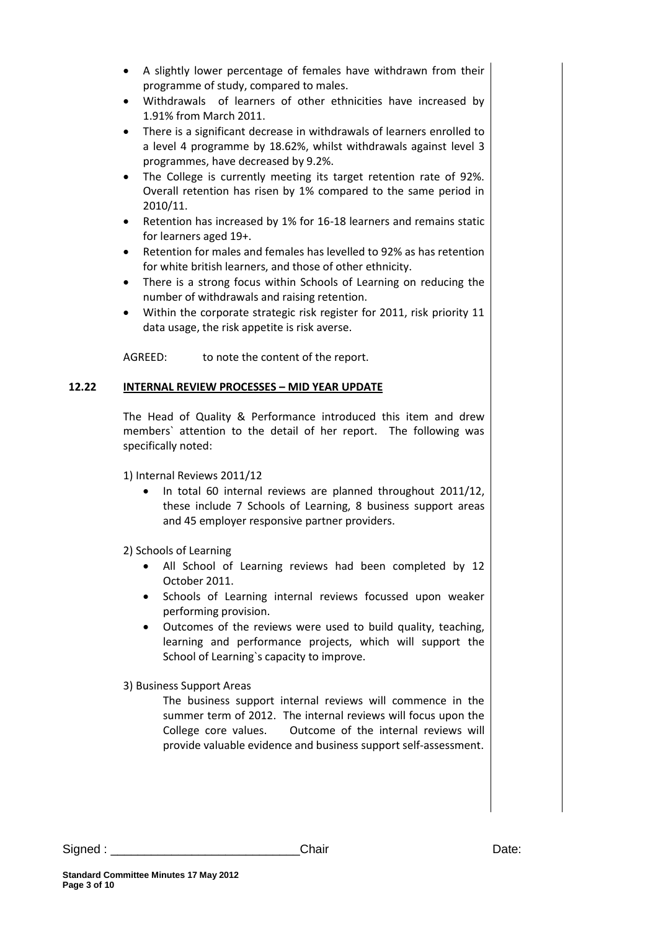- A slightly lower percentage of females have withdrawn from their programme of study, compared to males.
- Withdrawals of learners of other ethnicities have increased by 1.91% from March 2011.
- There is a significant decrease in withdrawals of learners enrolled to a level 4 programme by 18.62%, whilst withdrawals against level 3 programmes, have decreased by 9.2%.
- The College is currently meeting its target retention rate of 92%. Overall retention has risen by 1% compared to the same period in 2010/11.
- Retention has increased by 1% for 16-18 learners and remains static for learners aged 19+.
- Retention for males and females has levelled to 92% as has retention for white british learners, and those of other ethnicity.
- There is a strong focus within Schools of Learning on reducing the number of withdrawals and raising retention.
- Within the corporate strategic risk register for 2011, risk priority 11 data usage, the risk appetite is risk averse.

AGREED: to note the content of the report.

# **12.22 INTERNAL REVIEW PROCESSES – MID YEAR UPDATE**

The Head of Quality & Performance introduced this item and drew members` attention to the detail of her report. The following was specifically noted:

1) Internal Reviews 2011/12

• In total 60 internal reviews are planned throughout 2011/12, these include 7 Schools of Learning, 8 business support areas and 45 employer responsive partner providers.

2) Schools of Learning

- All School of Learning reviews had been completed by 12 October 2011.
- Schools of Learning internal reviews focussed upon weaker performing provision.
- Outcomes of the reviews were used to build quality, teaching, learning and performance projects, which will support the School of Learning`s capacity to improve.

3) Business Support Areas

The business support internal reviews will commence in the summer term of 2012. The internal reviews will focus upon the College core values. Outcome of the internal reviews will provide valuable evidence and business support self-assessment.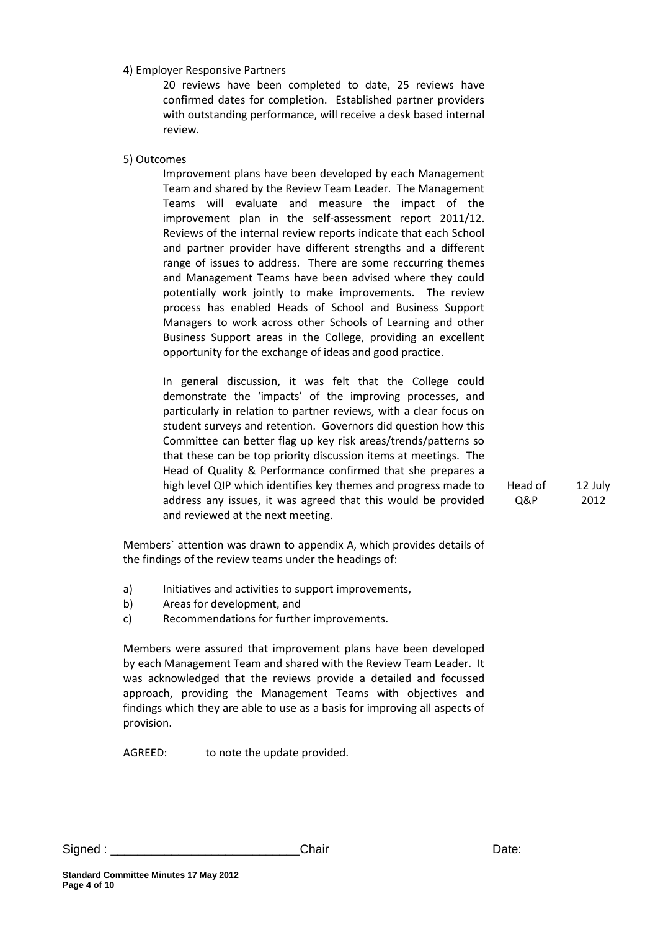|                | 4) Employer Responsive Partners<br>20 reviews have been completed to date, 25 reviews have<br>confirmed dates for completion. Established partner providers<br>with outstanding performance, will receive a desk based internal<br>review.                                                                                                                                                                                                                                                                                                                                                                                                                                                                                                                                                                                                                                                                                                                                                                                                                                                                                                                                                                                                                                                                                                                                                                                                                                                                                                                                                                                    |                |                 |
|----------------|-------------------------------------------------------------------------------------------------------------------------------------------------------------------------------------------------------------------------------------------------------------------------------------------------------------------------------------------------------------------------------------------------------------------------------------------------------------------------------------------------------------------------------------------------------------------------------------------------------------------------------------------------------------------------------------------------------------------------------------------------------------------------------------------------------------------------------------------------------------------------------------------------------------------------------------------------------------------------------------------------------------------------------------------------------------------------------------------------------------------------------------------------------------------------------------------------------------------------------------------------------------------------------------------------------------------------------------------------------------------------------------------------------------------------------------------------------------------------------------------------------------------------------------------------------------------------------------------------------------------------------|----------------|-----------------|
|                | 5) Outcomes<br>Improvement plans have been developed by each Management<br>Team and shared by the Review Team Leader. The Management<br>Teams will evaluate and measure the impact of the<br>improvement plan in the self-assessment report 2011/12.<br>Reviews of the internal review reports indicate that each School<br>and partner provider have different strengths and a different<br>range of issues to address. There are some reccurring themes<br>and Management Teams have been advised where they could<br>potentially work jointly to make improvements. The review<br>process has enabled Heads of School and Business Support<br>Managers to work across other Schools of Learning and other<br>Business Support areas in the College, providing an excellent<br>opportunity for the exchange of ideas and good practice.<br>In general discussion, it was felt that the College could<br>demonstrate the 'impacts' of the improving processes, and<br>particularly in relation to partner reviews, with a clear focus on<br>student surveys and retention. Governors did question how this<br>Committee can better flag up key risk areas/trends/patterns so<br>that these can be top priority discussion items at meetings. The<br>Head of Quality & Performance confirmed that she prepares a<br>high level QIP which identifies key themes and progress made to<br>address any issues, it was agreed that this would be provided<br>and reviewed at the next meeting.<br>Members' attention was drawn to appendix A, which provides details of<br>the findings of the review teams under the headings of: | Head of<br>Q&P | 12 July<br>2012 |
| a)<br>b)<br>c) | Initiatives and activities to support improvements,<br>Areas for development, and<br>Recommendations for further improvements.                                                                                                                                                                                                                                                                                                                                                                                                                                                                                                                                                                                                                                                                                                                                                                                                                                                                                                                                                                                                                                                                                                                                                                                                                                                                                                                                                                                                                                                                                                |                |                 |
| provision.     | Members were assured that improvement plans have been developed<br>by each Management Team and shared with the Review Team Leader. It<br>was acknowledged that the reviews provide a detailed and focussed<br>approach, providing the Management Teams with objectives and<br>findings which they are able to use as a basis for improving all aspects of                                                                                                                                                                                                                                                                                                                                                                                                                                                                                                                                                                                                                                                                                                                                                                                                                                                                                                                                                                                                                                                                                                                                                                                                                                                                     |                |                 |
| AGREED:        | to note the update provided.                                                                                                                                                                                                                                                                                                                                                                                                                                                                                                                                                                                                                                                                                                                                                                                                                                                                                                                                                                                                                                                                                                                                                                                                                                                                                                                                                                                                                                                                                                                                                                                                  |                |                 |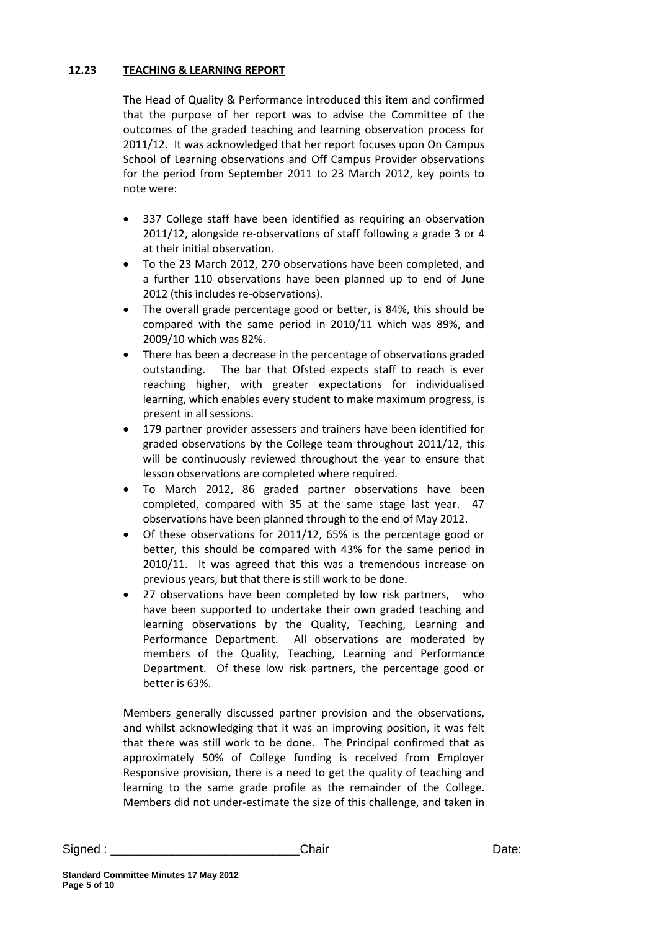#### **12.23 TEACHING & LEARNING REPORT**

The Head of Quality & Performance introduced this item and confirmed that the purpose of her report was to advise the Committee of the outcomes of the graded teaching and learning observation process for 2011/12. It was acknowledged that her report focuses upon On Campus School of Learning observations and Off Campus Provider observations for the period from September 2011 to 23 March 2012, key points to note were:

- 337 College staff have been identified as requiring an observation 2011/12, alongside re-observations of staff following a grade 3 or 4 at their initial observation.
- To the 23 March 2012, 270 observations have been completed, and a further 110 observations have been planned up to end of June 2012 (this includes re-observations).
- The overall grade percentage good or better, is 84%, this should be compared with the same period in 2010/11 which was 89%, and 2009/10 which was 82%.
- There has been a decrease in the percentage of observations graded outstanding. The bar that Ofsted expects staff to reach is ever reaching higher, with greater expectations for individualised learning, which enables every student to make maximum progress, is present in all sessions.
- 179 partner provider assessers and trainers have been identified for graded observations by the College team throughout 2011/12, this will be continuously reviewed throughout the year to ensure that lesson observations are completed where required.
- To March 2012, 86 graded partner observations have been completed, compared with 35 at the same stage last year. 47 observations have been planned through to the end of May 2012.
- Of these observations for 2011/12, 65% is the percentage good or better, this should be compared with 43% for the same period in 2010/11. It was agreed that this was a tremendous increase on previous years, but that there is still work to be done.
- 27 observations have been completed by low risk partners, who have been supported to undertake their own graded teaching and learning observations by the Quality, Teaching, Learning and Performance Department. All observations are moderated by members of the Quality, Teaching, Learning and Performance Department. Of these low risk partners, the percentage good or better is 63%.

Members generally discussed partner provision and the observations, and whilst acknowledging that it was an improving position, it was felt that there was still work to be done. The Principal confirmed that as approximately 50% of College funding is received from Employer Responsive provision, there is a need to get the quality of teaching and learning to the same grade profile as the remainder of the College. Members did not under-estimate the size of this challenge, and taken in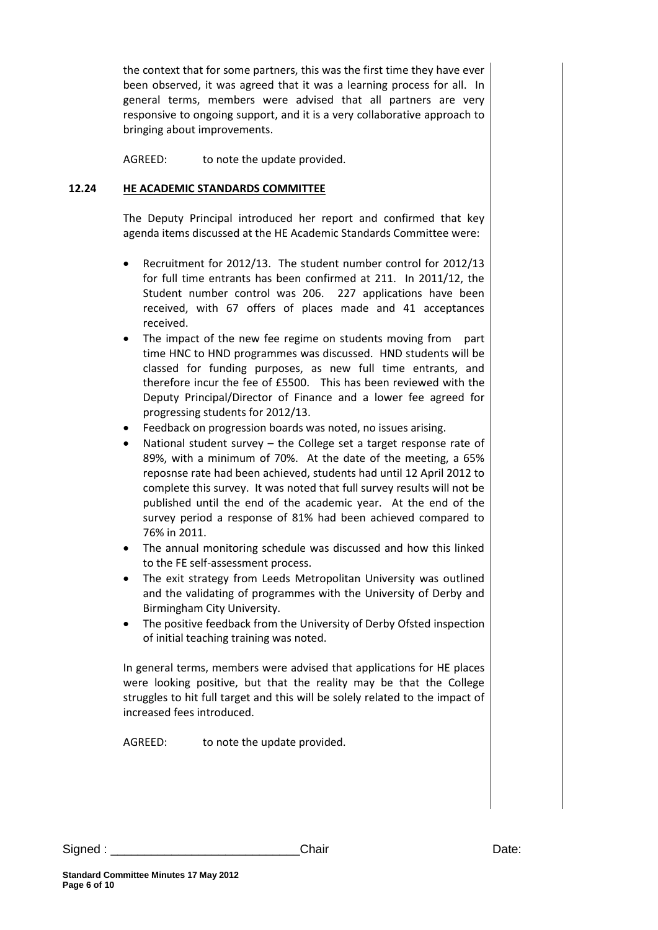the context that for some partners, this was the first time they have ever been observed, it was agreed that it was a learning process for all. In general terms, members were advised that all partners are very responsive to ongoing support, and it is a very collaborative approach to bringing about improvements.

AGREED: to note the update provided.

#### **12.24 HE ACADEMIC STANDARDS COMMITTEE**

The Deputy Principal introduced her report and confirmed that key agenda items discussed at the HE Academic Standards Committee were:

- Recruitment for 2012/13. The student number control for 2012/13 for full time entrants has been confirmed at 211. In 2011/12, the Student number control was 206. 227 applications have been received, with 67 offers of places made and 41 acceptances received.
- The impact of the new fee regime on students moving from part time HNC to HND programmes was discussed. HND students will be classed for funding purposes, as new full time entrants, and therefore incur the fee of £5500. This has been reviewed with the Deputy Principal/Director of Finance and a lower fee agreed for progressing students for 2012/13.
- Feedback on progression boards was noted, no issues arising.
- National student survey the College set a target response rate of 89%, with a minimum of 70%. At the date of the meeting, a 65% reposnse rate had been achieved, students had until 12 April 2012 to complete this survey. It was noted that full survey results will not be published until the end of the academic year. At the end of the survey period a response of 81% had been achieved compared to 76% in 2011.
- The annual monitoring schedule was discussed and how this linked to the FE self-assessment process.
- The exit strategy from Leeds Metropolitan University was outlined and the validating of programmes with the University of Derby and Birmingham City University.
- The positive feedback from the University of Derby Ofsted inspection of initial teaching training was noted.

In general terms, members were advised that applications for HE places were looking positive, but that the reality may be that the College struggles to hit full target and this will be solely related to the impact of increased fees introduced.

AGREED: to note the update provided.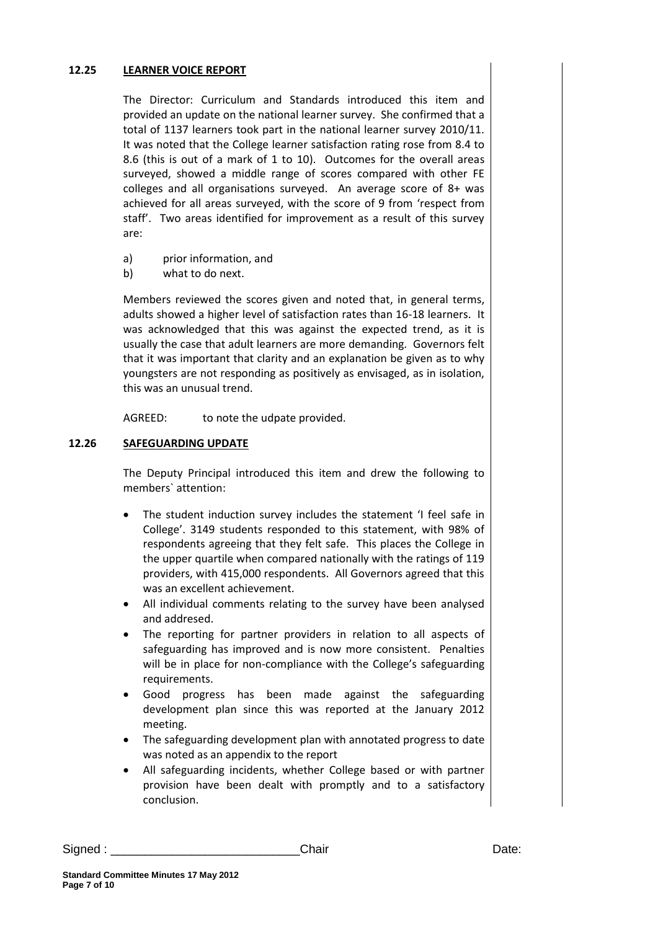#### **12.25 LEARNER VOICE REPORT**

The Director: Curriculum and Standards introduced this item and provided an update on the national learner survey. She confirmed that a total of 1137 learners took part in the national learner survey 2010/11. It was noted that the College learner satisfaction rating rose from 8.4 to 8.6 (this is out of a mark of 1 to 10). Outcomes for the overall areas surveyed, showed a middle range of scores compared with other FE colleges and all organisations surveyed. An average score of 8+ was achieved for all areas surveyed, with the score of 9 from 'respect from staff'. Two areas identified for improvement as a result of this survey are:

- a) prior information, and
- b) what to do next.

Members reviewed the scores given and noted that, in general terms, adults showed a higher level of satisfaction rates than 16-18 learners. It was acknowledged that this was against the expected trend, as it is usually the case that adult learners are more demanding. Governors felt that it was important that clarity and an explanation be given as to why youngsters are not responding as positively as envisaged, as in isolation, this was an unusual trend.

AGREED: to note the udpate provided.

#### **12.26 SAFEGUARDING UPDATE**

The Deputy Principal introduced this item and drew the following to members` attention:

- The student induction survey includes the statement 'I feel safe in College'. 3149 students responded to this statement, with 98% of respondents agreeing that they felt safe. This places the College in the upper quartile when compared nationally with the ratings of 119 providers, with 415,000 respondents. All Governors agreed that this was an excellent achievement.
- All individual comments relating to the survey have been analysed and addresed.
- The reporting for partner providers in relation to all aspects of safeguarding has improved and is now more consistent. Penalties will be in place for non-compliance with the College's safeguarding requirements.
- Good progress has been made against the safeguarding development plan since this was reported at the January 2012 meeting.
- The safeguarding development plan with annotated progress to date was noted as an appendix to the report
- All safeguarding incidents, whether College based or with partner provision have been dealt with promptly and to a satisfactory conclusion.

| Signed | Chair | Date: |
|--------|-------|-------|
|        |       |       |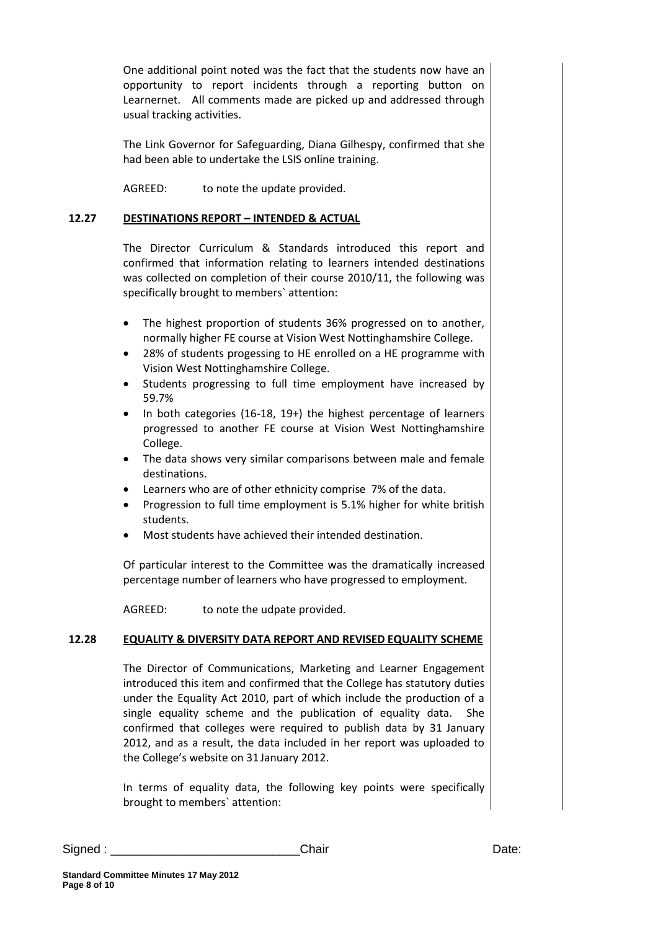One additional point noted was the fact that the students now have an opportunity to report incidents through a reporting button on Learnernet. All comments made are picked up and addressed through usual tracking activities.

The Link Governor for Safeguarding, Diana Gilhespy, confirmed that she had been able to undertake the LSIS online training.

AGREED: to note the update provided.

#### **12.27 DESTINATIONS REPORT – INTENDED & ACTUAL**

The Director Curriculum & Standards introduced this report and confirmed that information relating to learners intended destinations was collected on completion of their course 2010/11, the following was specifically brought to members` attention:

- The highest proportion of students 36% progressed on to another, normally higher FE course at Vision West Nottinghamshire College.
- 28% of students progessing to HE enrolled on a HE programme with Vision West Nottinghamshire College.
- Students progressing to full time employment have increased by 59.7%
- In both categories (16-18, 19+) the highest percentage of learners progressed to another FE course at Vision West Nottinghamshire College.
- The data shows very similar comparisons between male and female destinations.
- Learners who are of other ethnicity comprise 7% of the data.
- Progression to full time employment is 5.1% higher for white british students.
- Most students have achieved their intended destination.

Of particular interest to the Committee was the dramatically increased percentage number of learners who have progressed to employment.

AGREED: to note the udpate provided.

#### **12.28 EQUALITY & DIVERSITY DATA REPORT AND REVISED EQUALITY SCHEME**

The Director of Communications, Marketing and Learner Engagement introduced this item and confirmed that the College has statutory duties under the Equality Act 2010, part of which include the production of a single equality scheme and the publication of equality data. She confirmed that colleges were required to publish data by 31 January 2012, and as a result, the data included in her report was uploaded to the College's website on 31 January 2012.

In terms of equality data, the following key points were specifically brought to members` attention:

Signed : \_\_\_\_\_\_\_\_\_\_\_\_\_\_\_\_\_\_\_\_\_\_\_\_\_\_\_\_Chair Date: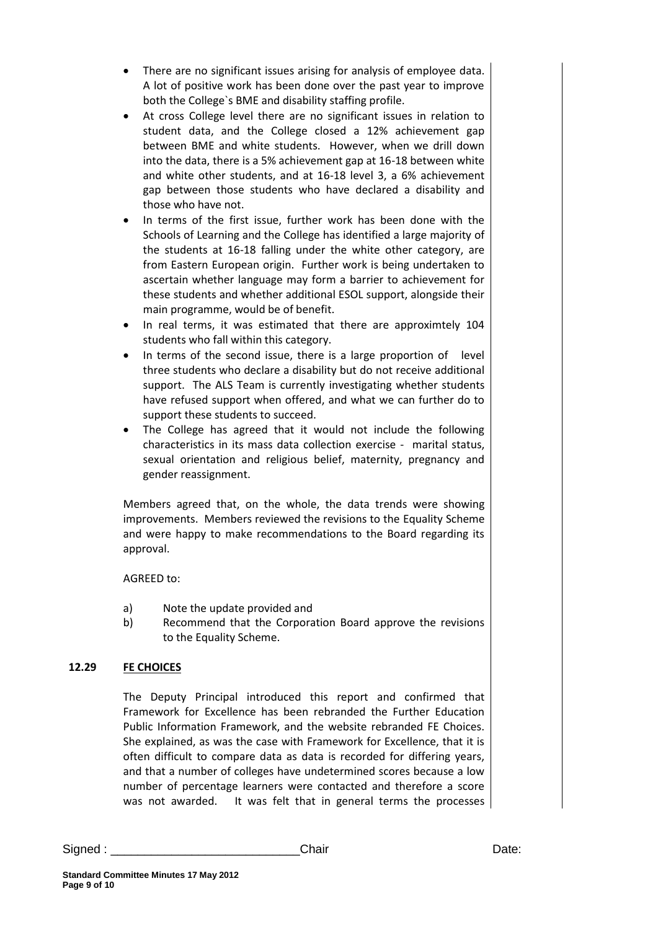- There are no significant issues arising for analysis of employee data. A lot of positive work has been done over the past year to improve both the College`s BME and disability staffing profile.
- At cross College level there are no significant issues in relation to student data, and the College closed a 12% achievement gap between BME and white students. However, when we drill down into the data, there is a 5% achievement gap at 16-18 between white and white other students, and at 16-18 level 3, a 6% achievement gap between those students who have declared a disability and those who have not.
- In terms of the first issue, further work has been done with the Schools of Learning and the College has identified a large majority of the students at 16-18 falling under the white other category, are from Eastern European origin. Further work is being undertaken to ascertain whether language may form a barrier to achievement for these students and whether additional ESOL support, alongside their main programme, would be of benefit.
- In real terms, it was estimated that there are approximtely 104 students who fall within this category.
- In terms of the second issue, there is a large proportion of level three students who declare a disability but do not receive additional support. The ALS Team is currently investigating whether students have refused support when offered, and what we can further do to support these students to succeed.
- The College has agreed that it would not include the following characteristics in its mass data collection exercise - marital status, sexual orientation and religious belief, maternity, pregnancy and gender reassignment.

Members agreed that, on the whole, the data trends were showing improvements. Members reviewed the revisions to the Equality Scheme and were happy to make recommendations to the Board regarding its approval.

# AGREED to:

- a) Note the update provided and
- b) Recommend that the Corporation Board approve the revisions to the Equality Scheme.

# **12.29 FE CHOICES**

The Deputy Principal introduced this report and confirmed that Framework for Excellence has been rebranded the Further Education Public Information Framework, and the website rebranded FE Choices. She explained, as was the case with Framework for Excellence, that it is often difficult to compare data as data is recorded for differing years, and that a number of colleges have undetermined scores because a low number of percentage learners were contacted and therefore a score was not awarded. It was felt that in general terms the processes